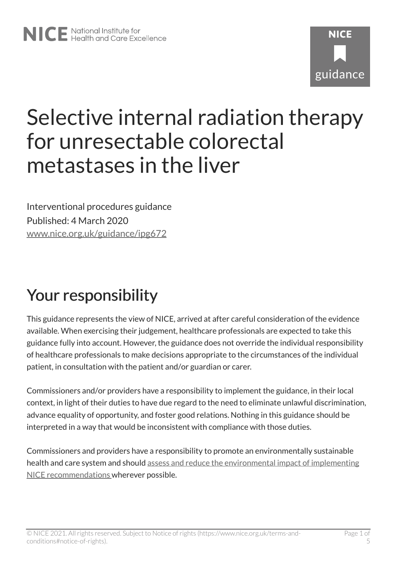# **NICF** guidance

# Selective internal radiation therapy for unresectable colorectal metastases in the liver

Interventional procedures guidance Published: 4 March 2020 [www.nice.org.uk/guidance/ipg672](https://www.nice.org.uk/guidance/ipg672) 

# Your responsibility

This guidance represents the view of NICE, arrived at after careful consideration of the evidence available. When exercising their judgement, healthcare professionals are expected to take this guidance fully into account. However, the guidance does not override the individual responsibility of healthcare professionals to make decisions appropriate to the circumstances of the individual patient, in consultation with the patient and/or guardian or carer.

Commissioners and/or providers have a responsibility to implement the guidance, in their local context, in light of their duties to have due regard to the need to eliminate unlawful discrimination, advance equality of opportunity, and foster good relations. Nothing in this guidance should be interpreted in a way that would be inconsistent with compliance with those duties.

Commissioners and providers have a responsibility to promote an environmentally sustainable health and care system and should [assess and reduce the environmental impact of implementing](https://www.nice.org.uk/about/who-we-are/sustainability)  [NICE recommendations w](https://www.nice.org.uk/about/who-we-are/sustainability)herever possible.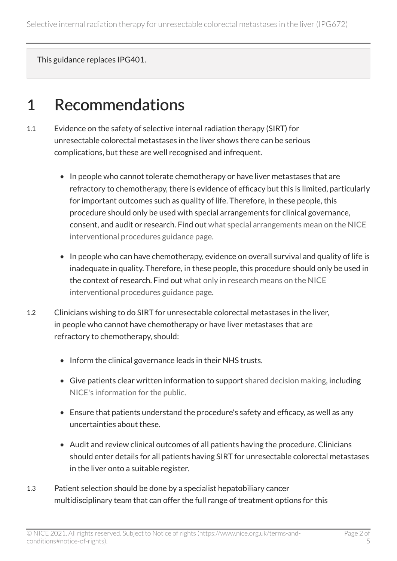This guidance replaces IPG401.

#### 1 Recommendations

- 1.1 Evidence on the safety of selective internal radiation therapy (SIRT) for unresectable colorectal metastases in the liver shows there can be serious complications, but these are well recognised and infrequent.
	- In people who cannot tolerate chemotherapy or have liver metastases that are refractory to chemotherapy, there is evidence of efficacy but this is limited, particularly for important outcomes such as quality of life. Therefore, in these people, this procedure should only be used with special arrangements for clinical governance, consent, and audit or research. Find out [what special arrangements mean on the NICE](https://www.nice.org.uk/about/what-we-do/our-programmes/nice-guidance/interventional-procedures-guidance/recommendations) [interventional procedures guidance page.](https://www.nice.org.uk/about/what-we-do/our-programmes/nice-guidance/interventional-procedures-guidance/recommendations)
	- In people who can have chemotherapy, evidence on overall survival and quality of life is inadequate in quality. Therefore, in these people, this procedure should only be used in the context of research. Find out [what only in research means on the NICE](https://www.nice.org.uk/about/what-we-do/our-programmes/nice-guidance/interventional-procedures-guidance/recommendations)  [interventional procedures guidance page.](https://www.nice.org.uk/about/what-we-do/our-programmes/nice-guidance/interventional-procedures-guidance/recommendations)
- 1.2 Clinicians wishing to do SIRT for unresectable colorectal metastases in the liver, in people who cannot have chemotherapy or have liver metastases that are refractory to chemotherapy, should:
	- Inform the clinical governance leads in their NHS trusts.
	- Give patients clear written information to support [shared decision making,](https://www.nice.org.uk/about/what-we-do/our-programmes/nice-guidance/nice-guidelines/shared-decision-making) including [NICE's information for the public.](http://www.nice.org.uk/guidance/IPG672/InformationForPublic)
	- Ensure that patients understand the procedure's safety and efficacy, as well as any uncertainties about these.
	- Audit and review clinical outcomes of all patients having the procedure. Clinicians should enter details for all patients having SIRT for unresectable colorectal metastases in the liver onto a suitable register.
- 1.3 Patient selection should be done by a specialist hepatobiliary cancer multidisciplinary team that can offer the full range of treatment options for this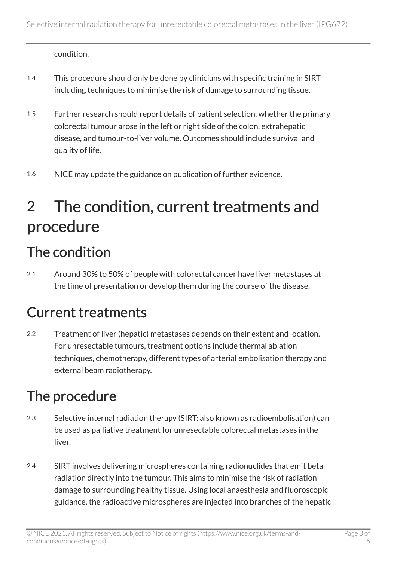condition.

- 1.4 This procedure should only be done by clinicians with specific training in SIRT including techniques to minimise the risk of damage to surrounding tissue.
- 1.5 Further research should report details of patient selection, whether the primary colorectal tumour arose in the left or right side of the colon, extrahepatic disease, and tumour-to-liver volume. Outcomes should include survival and quality of life.
- 1.6 NICE may update the guidance on publication of further evidence.

# 2 The condition, current treatments and procedure

#### The condition

2.1 Around 30% to 50% of people with colorectal cancer have liver metastases at the time of presentation or develop them during the course of the disease.

#### Current treatments

2.2 Treatment of liver (hepatic) metastases depends on their extent and location. For unresectable tumours, treatment options include thermal ablation techniques, chemotherapy, different types of arterial embolisation therapy and external beam radiotherapy.

#### The procedure

- 2.3 Selective internal radiation therapy (SIRT; also known as radioembolisation) can be used as palliative treatment for unresectable colorectal metastases in the liver.
- 2.4 SIRT involves delivering microspheres containing radionuclides that emit beta radiation directly into the tumour. This aims to minimise the risk of radiation damage to surrounding healthy tissue. Using local anaesthesia and fluoroscopic guidance, the radioactive microspheres are injected into branches of the hepatic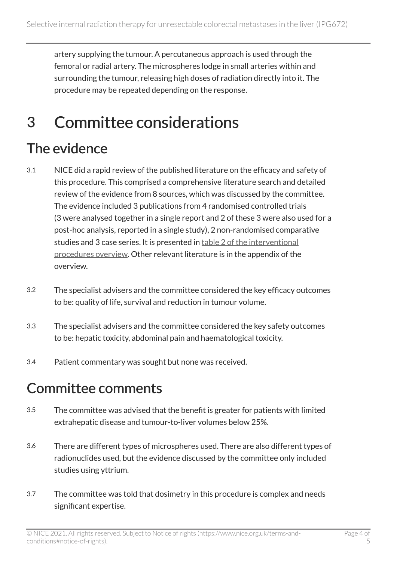artery supplying the tumour. A percutaneous approach is used through the femoral or radial artery. The microspheres lodge in small arteries within and surrounding the tumour, releasing high doses of radiation directly into it. The procedure may be repeated depending on the response.

## 3 Committee considerations

#### The evidence

- 3.1 NICE did a rapid review of the published literature on the efficacy and safety of this procedure. This comprised a comprehensive literature search and detailed review of the evidence from 8 sources, which was discussed by the committee. The evidence included 3 publications from 4 randomised controlled trials (3 were analysed together in a single report and 2 of these 3 were also used for a post-hoc analysis, reported in a single study), 2 non-randomised comparative studies and 3 case series. It is presented in table 2 of the interventional [procedures overview.](https://www.nice.org.uk/guidance/ipg672/evidence) Other relevant literature is in the appendix of the overview.
- 3.2 The specialist advisers and the committee considered the key efficacy outcomes to be: quality of life, survival and reduction in tumour volume.
- 3.3 The specialist advisers and the committee considered the key safety outcomes to be: hepatic toxicity, abdominal pain and haematological toxicity.
- 3.4 Patient commentary was sought but none was received.

#### Committee comments

- 3.5 The committee was advised that the benefit is greater for patients with limited extrahepatic disease and tumour-to-liver volumes below 25%.
- 3.6 There are different types of microspheres used. There are also different types of radionuclides used, but the evidence discussed by the committee only included studies using yttrium.
- 3.7 The committee was told that dosimetry in this procedure is complex and needs significant expertise.